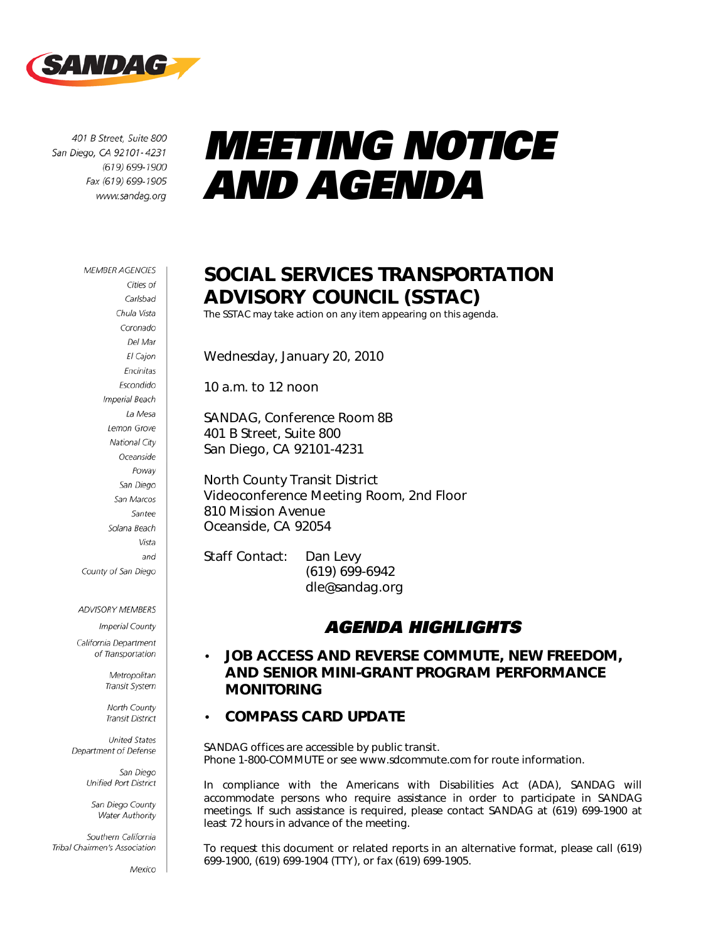

401 B Street, Suite 800 San Diego, CA 92101-4231 (619) 699-1900 Fax (619) 699-1905 www.sandag.org

# *MEETING NOTICE AND AGENDA*

#### **MEMBER AGENCIES**

Cities of Carlsbad Chula Vista Coronado Del Mar El Cajon Encinitas Escondido **Imperial Beach** La Mesa Lemon Grove National City Oceanside Poway San Diego San Marcos Santee Solana Beach Vista and County of San Diego

**ADVISORY MEMBERS** 

Imperial County

California Department of Transportation

> Metropolitan Transit System

North County **Transit District** 

**United States** Department of Defense

> San Diego Unified Port District

San Diego County Water Authority

Southern California Tribal Chairmen's Association

Mexico

### **SOCIAL SERVICES TRANSPORTATION ADVISORY COUNCIL (SSTAC)**

The SSTAC may take action on any item appearing on this agenda.

Wednesday, January 20, 2010

10 a.m. to 12 noon

SANDAG, Conference Room 8B 401 B Street, Suite 800 San Diego, CA 92101-4231

North County Transit District Videoconference Meeting Room, 2nd Floor 810 Mission Avenue Oceanside, CA 92054

Staff Contact: Dan Levy (619) 699-6942 dle@sandag.org

### *AGENDA HIGHLIGHTS*

### • **JOB ACCESS AND REVERSE COMMUTE, NEW FREEDOM, AND SENIOR MINI-GRANT PROGRAM PERFORMANCE MONITORING**

#### • **COMPASS CARD UPDATE**

*SANDAG offices are accessible by public transit. Phone 1-800-COMMUTE or see www.sdcommute.com for route information.* 

In compliance with the Americans with Disabilities Act (ADA), SANDAG will *accommodate persons who require assistance in order to participate in SANDAG meetings. If such assistance is required, please contact SANDAG at (619) 699-1900 at least 72 hours in advance of the meeting.* 

*To request this document or related reports in an alternative format, please call (619) 699-1900, (619) 699-1904 (TTY), or fax (619) 699-1905.*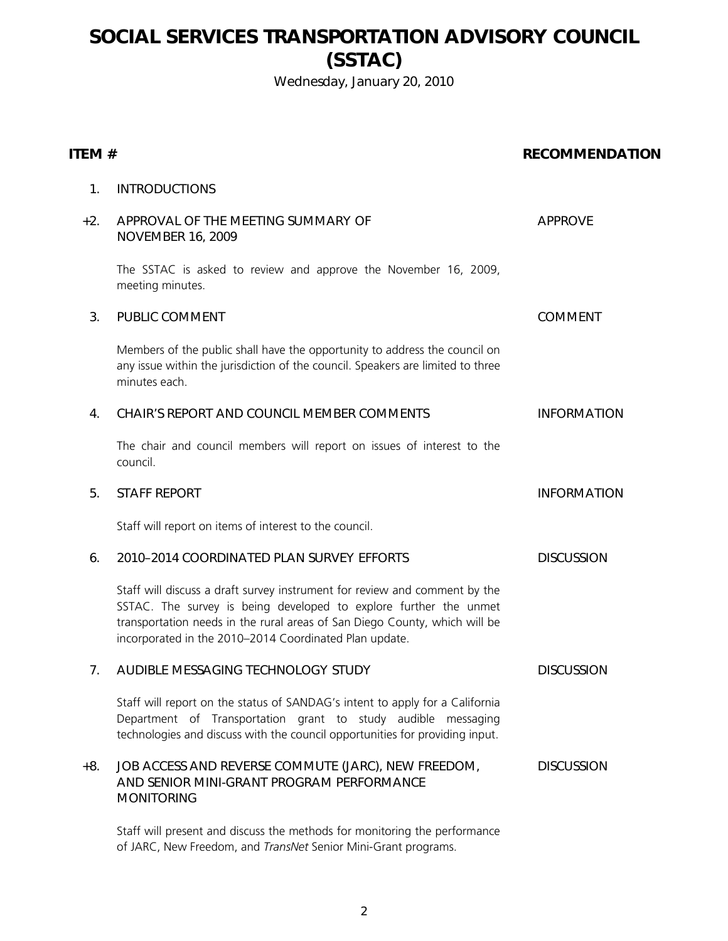### **SOCIAL SERVICES TRANSPORTATION ADVISORY COUNCIL (SSTAC)**

Wednesday, January 20, 2010

#### **ITEM # RECOMMENDATION**

#### 1. INTRODUCTIONS

### +2. APPROVAL OF THE MEETING SUMMARY OF NOVEMBER 16, 2009 APPROVE The SSTAC is asked to review and approve the November 16, 2009, meeting minutes. 3. PUBLIC COMMENT COMMENT Members of the public shall have the opportunity to address the council on any issue within the jurisdiction of the council. Speakers are limited to three minutes each. 4. CHAIR'S REPORT AND COUNCIL MEMBER COMMENTS INFORMATION The chair and council members will report on issues of interest to the council. 5. STAFF REPORT **INFORMATION** Staff will report on items of interest to the council. 6. 2010–2014 COORDINATED PLAN SURVEY EFFORTS DISCUSSION Staff will discuss a draft survey instrument for review and comment by the SSTAC. The survey is being developed to explore further the unmet transportation needs in the rural areas of San Diego County, which will be incorporated in the 2010–2014 Coordinated Plan update. 7. AUDIBLE MESSAGING TECHNOLOGY STUDY DISCUSSION

Staff will report on the status of SANDAG's intent to apply for a California Department of Transportation grant to study audible messaging technologies and discuss with the council opportunities for providing input.

#### +8. JOB ACCESS AND REVERSE COMMUTE (JARC), NEW FREEDOM, AND SENIOR MINI-GRANT PROGRAM PERFORMANCE **MONITORING DISCUSSION**

Staff will present and discuss the methods for monitoring the performance of JARC, New Freedom, and *TransNet* Senior Mini-Grant programs.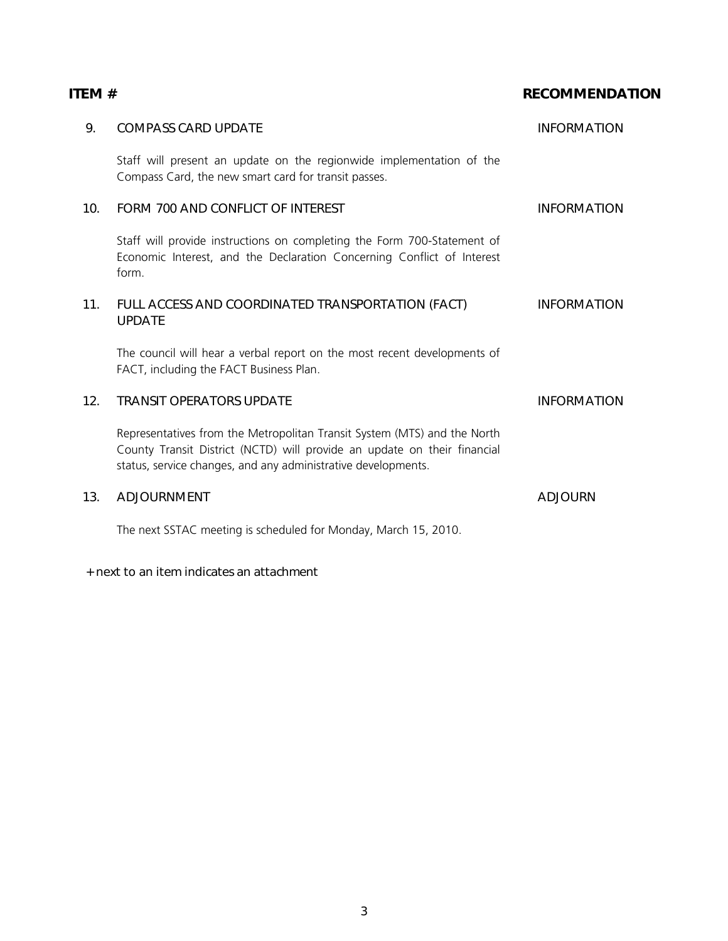### **ITEM #** RECOMMENDATION

| 9.  | <b>COMPASS CARD UPDATE</b>                                                                                                                                                                                            | <b>INFORMATION</b> |
|-----|-----------------------------------------------------------------------------------------------------------------------------------------------------------------------------------------------------------------------|--------------------|
|     | Staff will present an update on the regionwide implementation of the<br>Compass Card, the new smart card for transit passes.                                                                                          |                    |
| 10. | FORM 700 AND CONFLICT OF INTEREST                                                                                                                                                                                     | <b>INFORMATION</b> |
|     | Staff will provide instructions on completing the Form 700-Statement of<br>Economic Interest, and the Declaration Concerning Conflict of Interest<br>form.                                                            |                    |
| 11. | FULL ACCESS AND COORDINATED TRANSPORTATION (FACT)<br><b>UPDATE</b>                                                                                                                                                    | <b>INFORMATION</b> |
|     | The council will hear a verbal report on the most recent developments of<br>FACT, including the FACT Business Plan.                                                                                                   |                    |
| 12. | <b>TRANSIT OPERATORS UPDATE</b>                                                                                                                                                                                       | <b>INFORMATION</b> |
|     | Representatives from the Metropolitan Transit System (MTS) and the North<br>County Transit District (NCTD) will provide an update on their financial<br>status, service changes, and any administrative developments. |                    |
| 13. | <b>ADJOURNMENT</b>                                                                                                                                                                                                    | <b>ADJOURN</b>     |
|     | The next SSTAC meeting is scheduled for Monday, March 15, 2010.                                                                                                                                                       |                    |

#### + next to an item indicates an attachment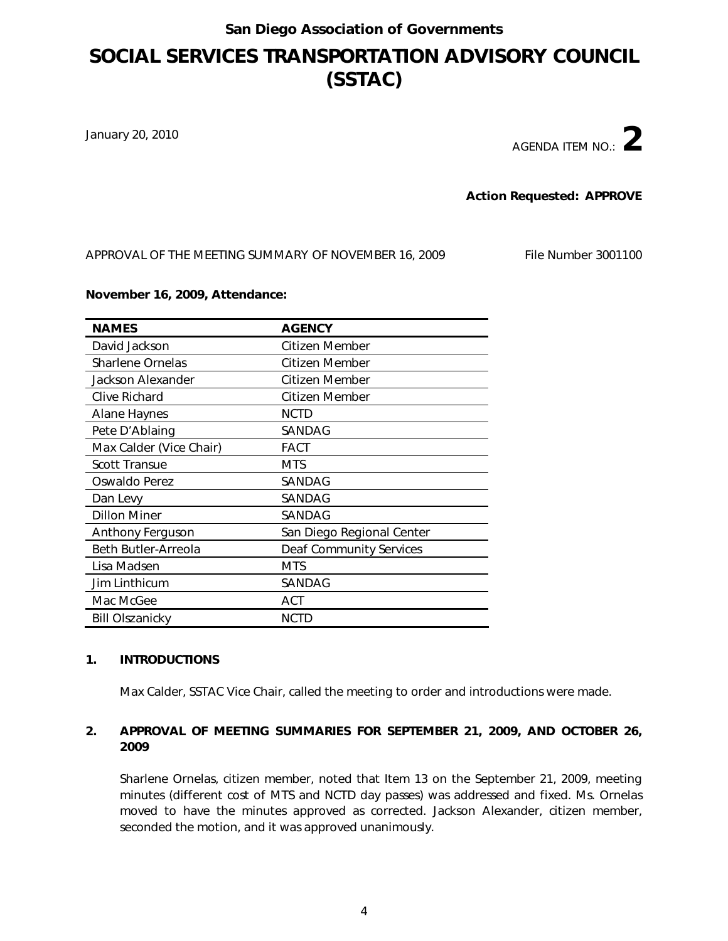### **SOCIAL SERVICES TRANSPORTATION ADVISORY COUNCIL (SSTAC)**

January 20, 2010

AGENDA ITEM NO.: **2**

**Action Requested: APPROVE**

APPROVAL OF THE MEETING SUMMARY OF NOVEMBER 16, 2009 File Number 3001100

#### **November 16, 2009, Attendance:**

| <b>NAMES</b>            | <b>AGENCY</b>                  |
|-------------------------|--------------------------------|
| David Jackson           | Citizen Member                 |
| <b>Sharlene Ornelas</b> | Citizen Member                 |
| Jackson Alexander       | Citizen Member                 |
| Clive Richard           | Citizen Member                 |
| Alane Haynes            | NCTD                           |
| Pete D'Ablaing          | SANDAG                         |
| Max Calder (Vice Chair) | FACT                           |
| <b>Scott Transue</b>    | MTS                            |
| Oswaldo Perez           | SANDAG                         |
| Dan Levy                | SANDAG                         |
| <b>Dillon Miner</b>     | SANDAG                         |
| Anthony Ferguson        | San Diego Regional Center      |
| Beth Butler-Arreola     | <b>Deaf Community Services</b> |
| Lisa Madsen             | <b>MTS</b>                     |
| Jim Linthicum           | SANDAG                         |
| Mac McGee               | <b>ACT</b>                     |
| <b>Bill Olszanicky</b>  | <b>NCTD</b>                    |

#### **1. INTRODUCTIONS**

Max Calder, SSTAC Vice Chair, called the meeting to order and introductions were made.

#### **2. APPROVAL OF MEETING SUMMARIES FOR SEPTEMBER 21, 2009, AND OCTOBER 26, 2009**

Sharlene Ornelas, citizen member, noted that Item 13 on the September 21, 2009, meeting minutes (different cost of MTS and NCTD day passes) was addressed and fixed. Ms. Ornelas moved to have the minutes approved as corrected. Jackson Alexander, citizen member, seconded the motion, and it was approved unanimously.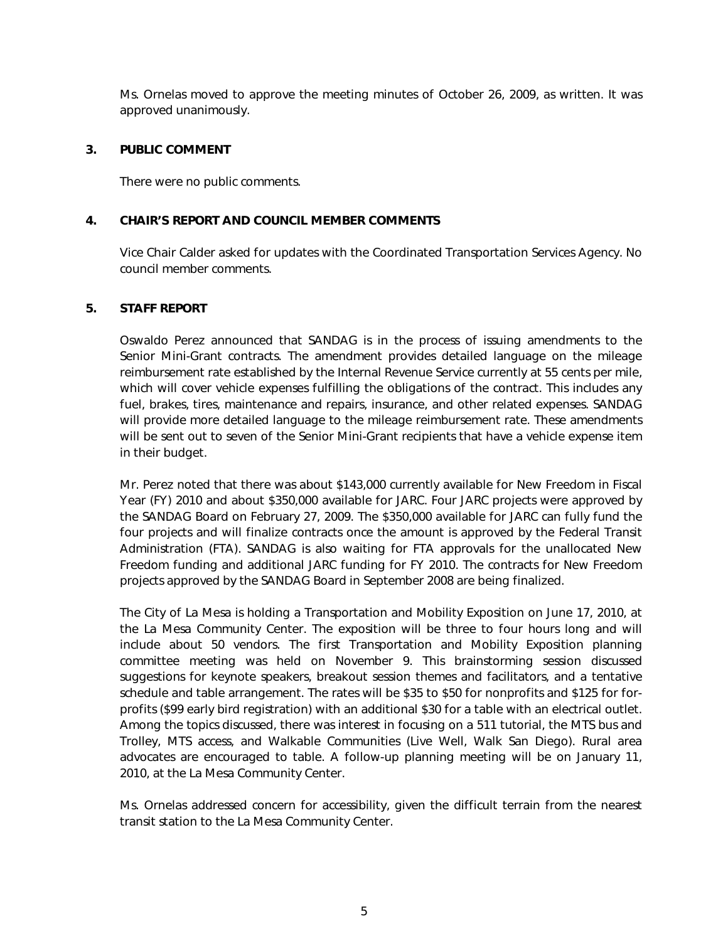Ms. Ornelas moved to approve the meeting minutes of October 26, 2009, as written. It was approved unanimously.

#### **3. PUBLIC COMMENT**

There were no public comments.

#### **4. CHAIR'S REPORT AND COUNCIL MEMBER COMMENTS**

Vice Chair Calder asked for updates with the Coordinated Transportation Services Agency. No council member comments.

#### **5. STAFF REPORT**

Oswaldo Perez announced that SANDAG is in the process of issuing amendments to the Senior Mini-Grant contracts. The amendment provides detailed language on the mileage reimbursement rate established by the Internal Revenue Service currently at 55 cents per mile, which will cover vehicle expenses fulfilling the obligations of the contract. This includes any fuel, brakes, tires, maintenance and repairs, insurance, and other related expenses. SANDAG will provide more detailed language to the mileage reimbursement rate. These amendments will be sent out to seven of the Senior Mini-Grant recipients that have a vehicle expense item in their budget.

Mr. Perez noted that there was about \$143,000 currently available for New Freedom in Fiscal Year (FY) 2010 and about \$350,000 available for JARC. Four JARC projects were approved by the SANDAG Board on February 27, 2009. The \$350,000 available for JARC can fully fund the four projects and will finalize contracts once the amount is approved by the Federal Transit Administration (FTA). SANDAG is also waiting for FTA approvals for the unallocated New Freedom funding and additional JARC funding for FY 2010. The contracts for New Freedom projects approved by the SANDAG Board in September 2008 are being finalized.

The City of La Mesa is holding a Transportation and Mobility Exposition on June 17, 2010, at the La Mesa Community Center. The exposition will be three to four hours long and will include about 50 vendors. The first Transportation and Mobility Exposition planning committee meeting was held on November 9. This brainstorming session discussed suggestions for keynote speakers, breakout session themes and facilitators, and a tentative schedule and table arrangement. The rates will be \$35 to \$50 for nonprofits and \$125 for forprofits (\$99 early bird registration) with an additional \$30 for a table with an electrical outlet. Among the topics discussed, there was interest in focusing on a 511 tutorial, the MTS bus and Trolley, MTS access, and Walkable Communities (Live Well, Walk San Diego). Rural area advocates are encouraged to table. A follow-up planning meeting will be on January 11, 2010, at the La Mesa Community Center.

Ms. Ornelas addressed concern for accessibility, given the difficult terrain from the nearest transit station to the La Mesa Community Center.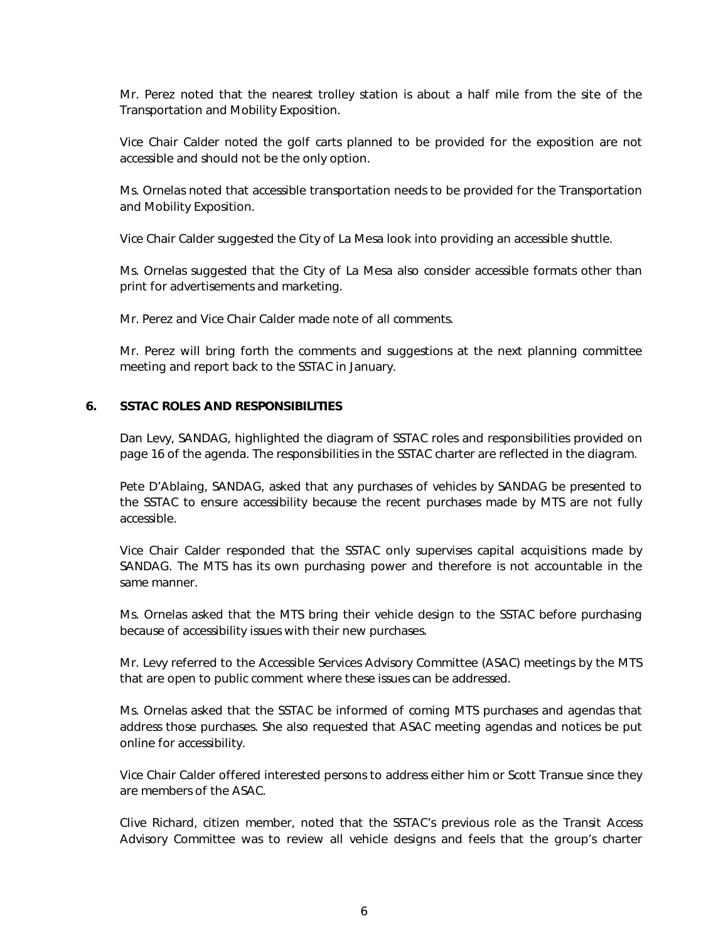Mr. Perez noted that the nearest trolley station is about a half mile from the site of the Transportation and Mobility Exposition.

Vice Chair Calder noted the golf carts planned to be provided for the exposition are not accessible and should not be the only option.

Ms. Ornelas noted that accessible transportation needs to be provided for the Transportation and Mobility Exposition.

Vice Chair Calder suggested the City of La Mesa look into providing an accessible shuttle.

Ms. Ornelas suggested that the City of La Mesa also consider accessible formats other than print for advertisements and marketing.

Mr. Perez and Vice Chair Calder made note of all comments.

Mr. Perez will bring forth the comments and suggestions at the next planning committee meeting and report back to the SSTAC in January.

#### **6. SSTAC ROLES AND RESPONSIBILITIES**

Dan Levy, SANDAG, highlighted the diagram of SSTAC roles and responsibilities provided on page 16 of the agenda. The responsibilities in the SSTAC charter are reflected in the diagram.

Pete D'Ablaing, SANDAG, asked that any purchases of vehicles by SANDAG be presented to the SSTAC to ensure accessibility because the recent purchases made by MTS are not fully accessible.

Vice Chair Calder responded that the SSTAC only supervises capital acquisitions made by SANDAG. The MTS has its own purchasing power and therefore is not accountable in the same manner.

Ms. Ornelas asked that the MTS bring their vehicle design to the SSTAC before purchasing because of accessibility issues with their new purchases.

Mr. Levy referred to the Accessible Services Advisory Committee (ASAC) meetings by the MTS that are open to public comment where these issues can be addressed.

Ms. Ornelas asked that the SSTAC be informed of coming MTS purchases and agendas that address those purchases. She also requested that ASAC meeting agendas and notices be put online for accessibility.

Vice Chair Calder offered interested persons to address either him or Scott Transue since they are members of the ASAC.

Clive Richard, citizen member, noted that the SSTAC's previous role as the Transit Access Advisory Committee was to review all vehicle designs and feels that the group's charter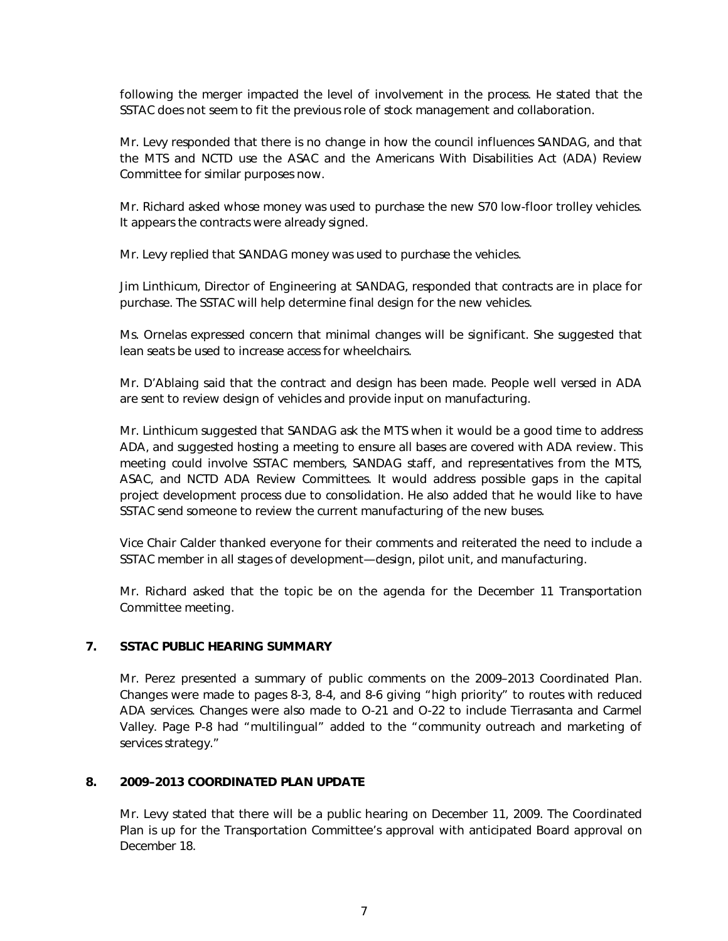following the merger impacted the level of involvement in the process. He stated that the SSTAC does not seem to fit the previous role of stock management and collaboration.

Mr. Levy responded that there is no change in how the council influences SANDAG, and that the MTS and NCTD use the ASAC and the Americans With Disabilities Act (ADA) Review Committee for similar purposes now.

Mr. Richard asked whose money was used to purchase the new S70 low-floor trolley vehicles. It appears the contracts were already signed.

Mr. Levy replied that SANDAG money was used to purchase the vehicles.

Jim Linthicum, Director of Engineering at SANDAG, responded that contracts are in place for purchase. The SSTAC will help determine final design for the new vehicles.

Ms. Ornelas expressed concern that minimal changes will be significant. She suggested that lean seats be used to increase access for wheelchairs.

Mr. D'Ablaing said that the contract and design has been made. People well versed in ADA are sent to review design of vehicles and provide input on manufacturing.

Mr. Linthicum suggested that SANDAG ask the MTS when it would be a good time to address ADA, and suggested hosting a meeting to ensure all bases are covered with ADA review. This meeting could involve SSTAC members, SANDAG staff, and representatives from the MTS, ASAC, and NCTD ADA Review Committees. It would address possible gaps in the capital project development process due to consolidation. He also added that he would like to have SSTAC send someone to review the current manufacturing of the new buses.

Vice Chair Calder thanked everyone for their comments and reiterated the need to include a SSTAC member in all stages of development—design, pilot unit, and manufacturing.

Mr. Richard asked that the topic be on the agenda for the December 11 Transportation Committee meeting.

#### **7. SSTAC PUBLIC HEARING SUMMARY**

Mr. Perez presented a summary of public comments on the 2009–2013 Coordinated Plan. Changes were made to pages 8-3, 8-4, and 8-6 giving "high priority" to routes with reduced ADA services. Changes were also made to O-21 and O-22 to include Tierrasanta and Carmel Valley. Page P-8 had "multilingual" added to the "community outreach and marketing of services strategy."

#### **8. 2009–2013 COORDINATED PLAN UPDATE**

Mr. Levy stated that there will be a public hearing on December 11, 2009. The Coordinated Plan is up for the Transportation Committee's approval with anticipated Board approval on December 18.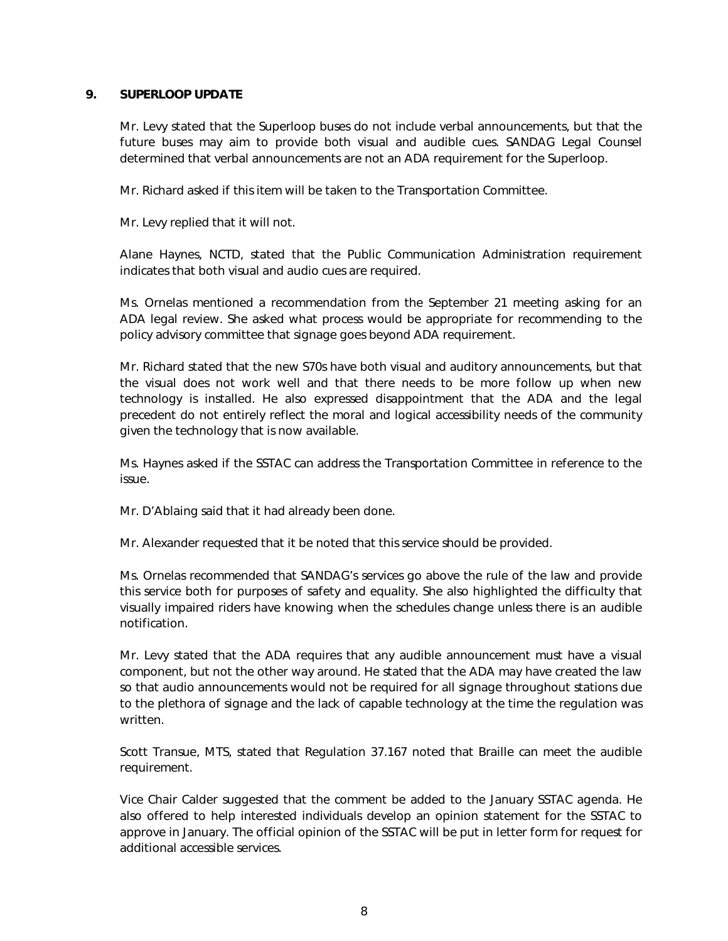#### **9. SUPERLOOP UPDATE**

Mr. Levy stated that the Superloop buses do not include verbal announcements, but that the future buses may aim to provide both visual and audible cues. SANDAG Legal Counsel determined that verbal announcements are not an ADA requirement for the Superloop.

Mr. Richard asked if this item will be taken to the Transportation Committee.

Mr. Levy replied that it will not.

Alane Haynes, NCTD, stated that the Public Communication Administration requirement indicates that both visual and audio cues are required.

Ms. Ornelas mentioned a recommendation from the September 21 meeting asking for an ADA legal review. She asked what process would be appropriate for recommending to the policy advisory committee that signage goes beyond ADA requirement.

Mr. Richard stated that the new S70s have both visual and auditory announcements, but that the visual does not work well and that there needs to be more follow up when new technology is installed. He also expressed disappointment that the ADA and the legal precedent do not entirely reflect the moral and logical accessibility needs of the community given the technology that is now available.

Ms. Haynes asked if the SSTAC can address the Transportation Committee in reference to the issue.

Mr. D'Ablaing said that it had already been done.

Mr. Alexander requested that it be noted that this service should be provided.

Ms. Ornelas recommended that SANDAG's services go above the rule of the law and provide this service both for purposes of safety and equality. She also highlighted the difficulty that visually impaired riders have knowing when the schedules change unless there is an audible notification.

Mr. Levy stated that the ADA requires that any audible announcement must have a visual component, but not the other way around. He stated that the ADA may have created the law so that audio announcements would not be required for all signage throughout stations due to the plethora of signage and the lack of capable technology at the time the regulation was written.

Scott Transue, MTS, stated that Regulation 37.167 noted that Braille can meet the audible requirement.

Vice Chair Calder suggested that the comment be added to the January SSTAC agenda. He also offered to help interested individuals develop an opinion statement for the SSTAC to approve in January. The official opinion of the SSTAC will be put in letter form for request for additional accessible services.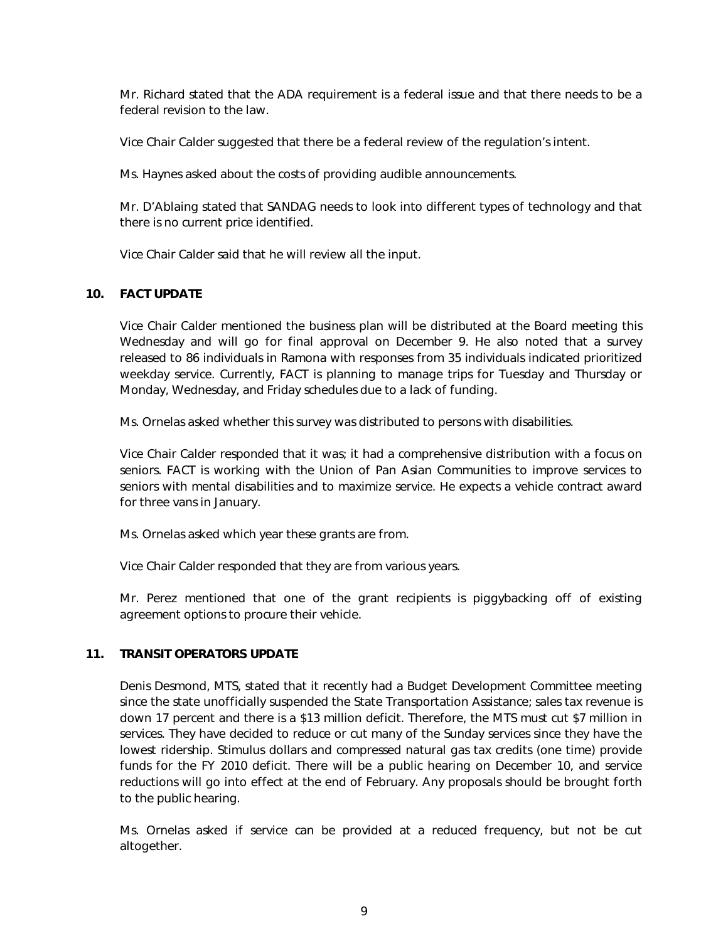Mr. Richard stated that the ADA requirement is a federal issue and that there needs to be a federal revision to the law.

Vice Chair Calder suggested that there be a federal review of the regulation's intent.

Ms. Haynes asked about the costs of providing audible announcements.

Mr. D'Ablaing stated that SANDAG needs to look into different types of technology and that there is no current price identified.

Vice Chair Calder said that he will review all the input.

#### **10. FACT UPDATE**

Vice Chair Calder mentioned the business plan will be distributed at the Board meeting this Wednesday and will go for final approval on December 9. He also noted that a survey released to 86 individuals in Ramona with responses from 35 individuals indicated prioritized weekday service. Currently, FACT is planning to manage trips for Tuesday and Thursday or Monday, Wednesday, and Friday schedules due to a lack of funding.

Ms. Ornelas asked whether this survey was distributed to persons with disabilities.

Vice Chair Calder responded that it was; it had a comprehensive distribution with a focus on seniors. FACT is working with the Union of Pan Asian Communities to improve services to seniors with mental disabilities and to maximize service. He expects a vehicle contract award for three vans in January.

Ms. Ornelas asked which year these grants are from.

Vice Chair Calder responded that they are from various years.

Mr. Perez mentioned that one of the grant recipients is piggybacking off of existing agreement options to procure their vehicle.

#### **11. TRANSIT OPERATORS UPDATE**

Denis Desmond, MTS, stated that it recently had a Budget Development Committee meeting since the state unofficially suspended the State Transportation Assistance; sales tax revenue is down 17 percent and there is a \$13 million deficit. Therefore, the MTS must cut \$7 million in services. They have decided to reduce or cut many of the Sunday services since they have the lowest ridership. Stimulus dollars and compressed natural gas tax credits (one time) provide funds for the FY 2010 deficit. There will be a public hearing on December 10, and service reductions will go into effect at the end of February. Any proposals should be brought forth to the public hearing.

Ms. Ornelas asked if service can be provided at a reduced frequency, but not be cut altogether.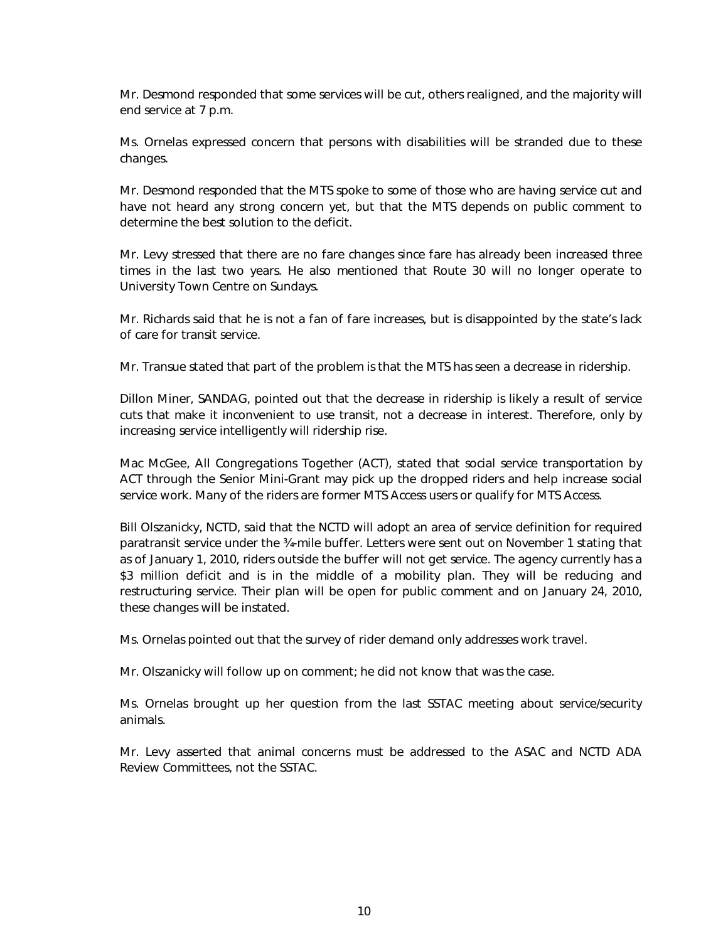Mr. Desmond responded that some services will be cut, others realigned, and the majority will end service at 7 p.m.

Ms. Ornelas expressed concern that persons with disabilities will be stranded due to these changes.

Mr. Desmond responded that the MTS spoke to some of those who are having service cut and have not heard any strong concern yet, but that the MTS depends on public comment to determine the best solution to the deficit.

Mr. Levy stressed that there are no fare changes since fare has already been increased three times in the last two years. He also mentioned that Route 30 will no longer operate to University Town Centre on Sundays.

Mr. Richards said that he is not a fan of fare increases, but is disappointed by the state's lack of care for transit service.

Mr. Transue stated that part of the problem is that the MTS has seen a decrease in ridership.

Dillon Miner, SANDAG, pointed out that the decrease in ridership is likely a result of service cuts that make it inconvenient to use transit, not a decrease in interest. Therefore, only by increasing service intelligently will ridership rise.

Mac McGee, All Congregations Together (ACT), stated that social service transportation by ACT through the Senior Mini-Grant may pick up the dropped riders and help increase social service work. Many of the riders are former MTS Access users or qualify for MTS Access.

Bill Olszanicky, NCTD, said that the NCTD will adopt an area of service definition for required paratransit service under the ¾-mile buffer. Letters were sent out on November 1 stating that as of January 1, 2010, riders outside the buffer will not get service. The agency currently has a \$3 million deficit and is in the middle of a mobility plan. They will be reducing and restructuring service. Their plan will be open for public comment and on January 24, 2010, these changes will be instated.

Ms. Ornelas pointed out that the survey of rider demand only addresses work travel.

Mr. Olszanicky will follow up on comment; he did not know that was the case.

Ms. Ornelas brought up her question from the last SSTAC meeting about service/security animals.

Mr. Levy asserted that animal concerns must be addressed to the ASAC and NCTD ADA Review Committees, not the SSTAC.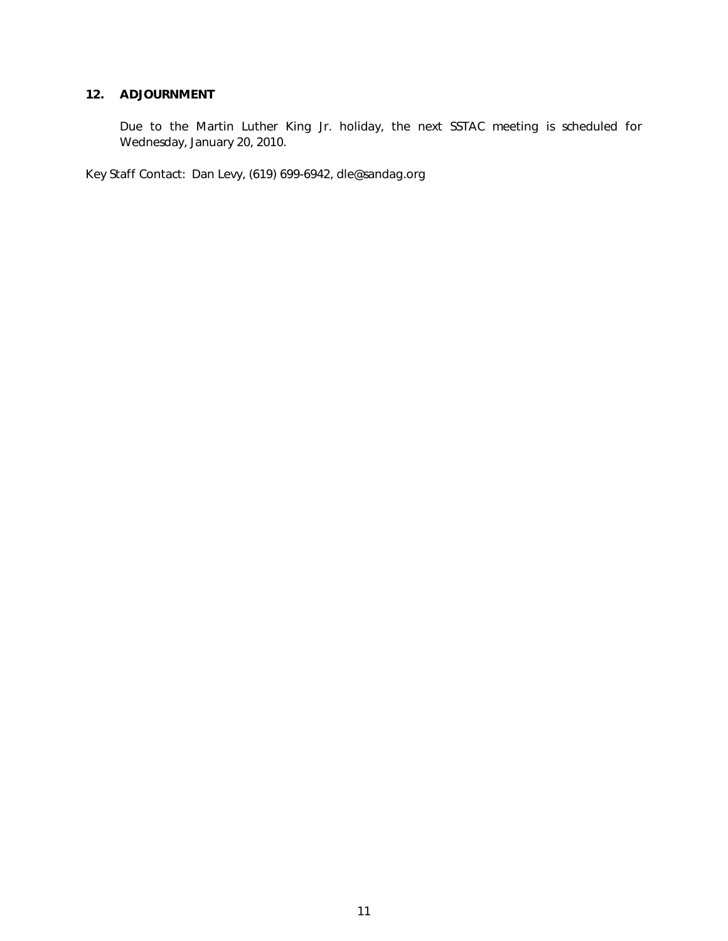#### **12. ADJOURNMENT**

Due to the Martin Luther King Jr. holiday, the next SSTAC meeting is scheduled for Wednesday, January 20, 2010.

Key Staff Contact: Dan Levy, (619) 699-6942, dle@sandag.org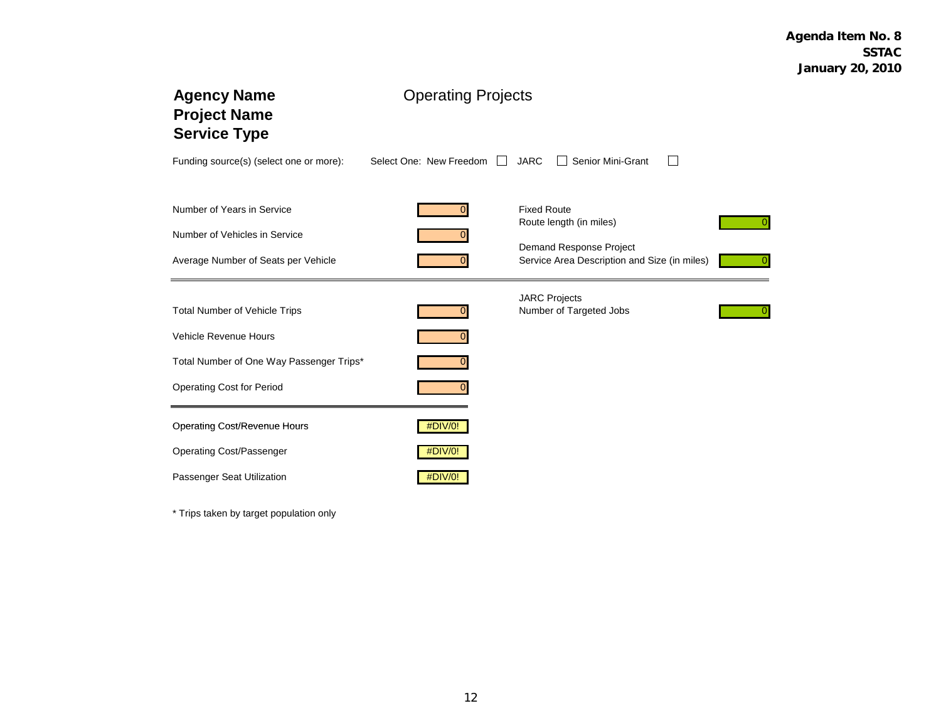| <b>Agency Name</b><br><b>Project Name</b><br><b>Service Type</b> | <b>Operating Projects</b>               |                                                                         |  |  |  |
|------------------------------------------------------------------|-----------------------------------------|-------------------------------------------------------------------------|--|--|--|
| Funding source(s) (select one or more):                          | Select One: New Freedom<br>$\mathbf{1}$ | <b>JARC</b><br>Senior Mini-Grant                                        |  |  |  |
| Number of Years in Service                                       |                                         | <b>Fixed Route</b><br>Route length (in miles)                           |  |  |  |
| Number of Vehicles in Service                                    |                                         |                                                                         |  |  |  |
| Average Number of Seats per Vehicle                              |                                         | Demand Response Project<br>Service Area Description and Size (in miles) |  |  |  |
| <b>Total Number of Vehicle Trips</b>                             |                                         | <b>JARC Projects</b><br>Number of Targeted Jobs                         |  |  |  |
| Vehicle Revenue Hours                                            |                                         |                                                                         |  |  |  |
| Total Number of One Way Passenger Trips*                         |                                         |                                                                         |  |  |  |
| <b>Operating Cost for Period</b>                                 |                                         |                                                                         |  |  |  |
| <b>Operating Cost/Revenue Hours</b>                              | #DIV/0!                                 |                                                                         |  |  |  |
| <b>Operating Cost/Passenger</b>                                  | #DIV/0!                                 |                                                                         |  |  |  |
| Passenger Seat Utilization                                       | #DIV/0!                                 |                                                                         |  |  |  |

\* Trips taken by target population only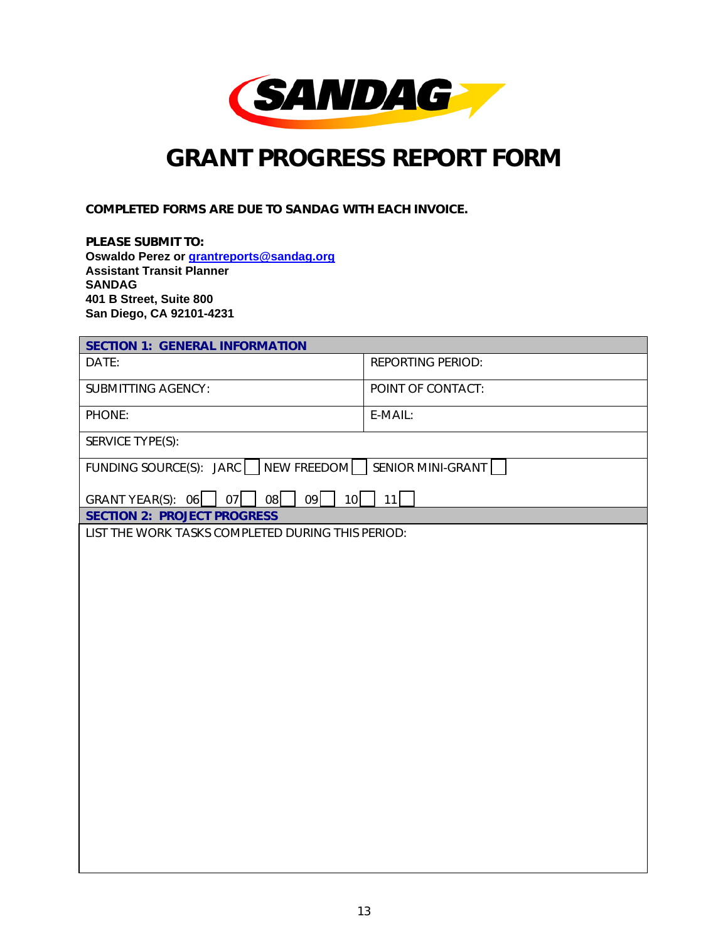

## *GRANT PROGRESS REPORT FORM*

COMPLETED FORMS ARE DUE TO SANDAG WITH EACH INVOICE.

PLEASE SUBMIT TO: **Oswaldo Perez or grantreports@sandag.org Assistant Transit Planner SANDAG 401 B Street, Suite 800 San Diego, CA 92101-4231** 

| <b>SECTION 1: GENERAL INFORMATION</b>                 |                          |  |  |  |  |  |  |
|-------------------------------------------------------|--------------------------|--|--|--|--|--|--|
| DATE:                                                 | <b>REPORTING PERIOD:</b> |  |  |  |  |  |  |
| <b>SUBMITTING AGENCY:</b>                             | POINT OF CONTACT:        |  |  |  |  |  |  |
| PHONE:                                                | E-MAIL:                  |  |  |  |  |  |  |
| SERVICE TYPE(S):                                      |                          |  |  |  |  |  |  |
| FUNDING SOURCE(S): JARC NEW FREEDOM SENIOR MINI-GRANT |                          |  |  |  |  |  |  |
| 09<br>$ $   08<br>GRANT YEAR(S): $06$ 07<br>10        | 11                       |  |  |  |  |  |  |
| <b>SECTION 2: PROJECT PROGRESS</b>                    |                          |  |  |  |  |  |  |
| LIST THE WORK TASKS COMPLETED DURING THIS PERIOD:     |                          |  |  |  |  |  |  |
|                                                       |                          |  |  |  |  |  |  |
|                                                       |                          |  |  |  |  |  |  |
|                                                       |                          |  |  |  |  |  |  |
|                                                       |                          |  |  |  |  |  |  |
|                                                       |                          |  |  |  |  |  |  |
|                                                       |                          |  |  |  |  |  |  |
|                                                       |                          |  |  |  |  |  |  |
|                                                       |                          |  |  |  |  |  |  |
|                                                       |                          |  |  |  |  |  |  |
|                                                       |                          |  |  |  |  |  |  |
|                                                       |                          |  |  |  |  |  |  |
|                                                       |                          |  |  |  |  |  |  |
|                                                       |                          |  |  |  |  |  |  |
|                                                       |                          |  |  |  |  |  |  |
|                                                       |                          |  |  |  |  |  |  |
|                                                       |                          |  |  |  |  |  |  |
|                                                       |                          |  |  |  |  |  |  |
|                                                       |                          |  |  |  |  |  |  |
|                                                       |                          |  |  |  |  |  |  |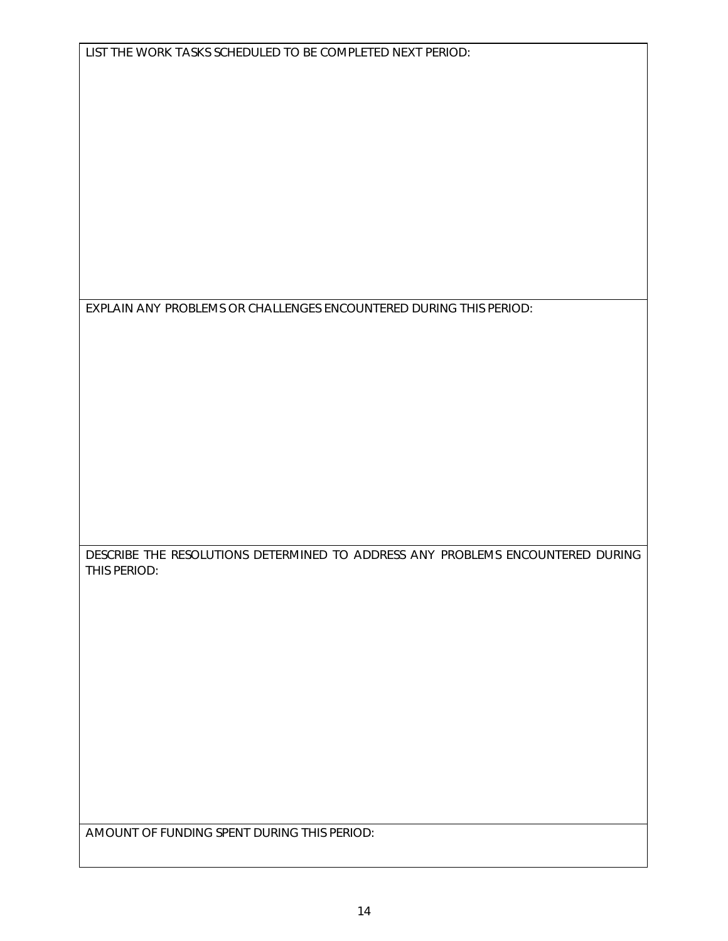EXPLAIN ANY PROBLEMS OR CHALLENGES ENCOUNTERED DURING THIS PERIOD:

DESCRIBE THE RESOLUTIONS DETERMINED TO ADDRESS ANY PROBLEMS ENCOUNTERED DURING THIS PERIOD:

AMOUNT OF FUNDING SPENT DURING THIS PERIOD: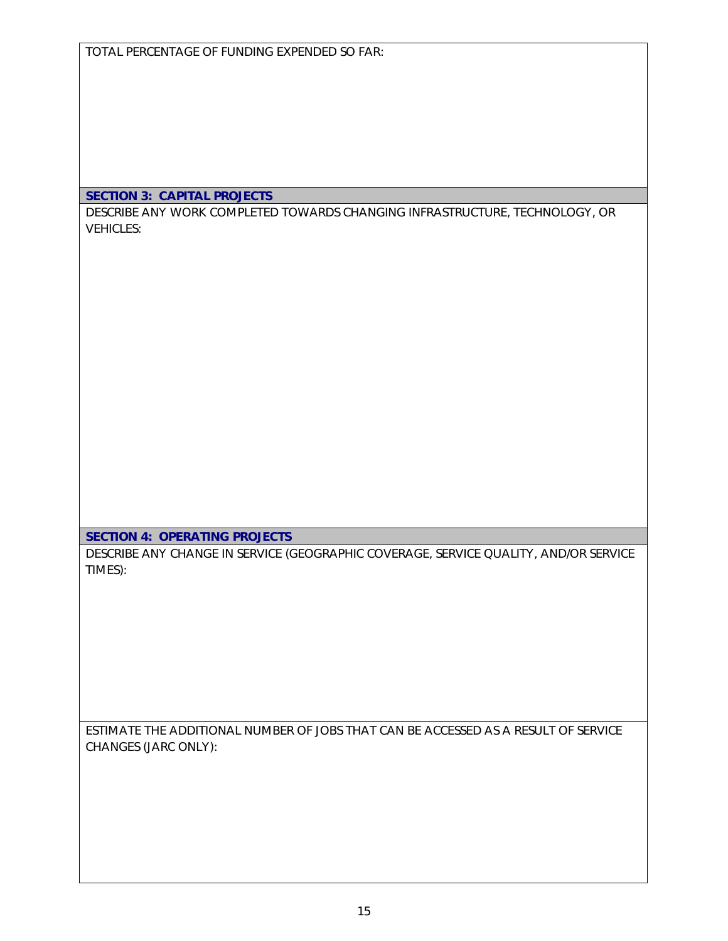TOTAL PERCENTAGE OF FUNDING EXPENDED SO FAR:

#### SECTION 3: CAPITAL PROJECTS

DESCRIBE ANY WORK COMPLETED TOWARDS CHANGING INFRASTRUCTURE, TECHNOLOGY, OR VEHICLES:

SECTION 4: OPERATING PROJECTS

DESCRIBE ANY CHANGE IN SERVICE (GEOGRAPHIC COVERAGE, SERVICE QUALITY, AND/OR SERVICE TIMES):

ESTIMATE THE ADDITIONAL NUMBER OF JOBS THAT CAN BE ACCESSED AS A RESULT OF SERVICE CHANGES (JARC ONLY):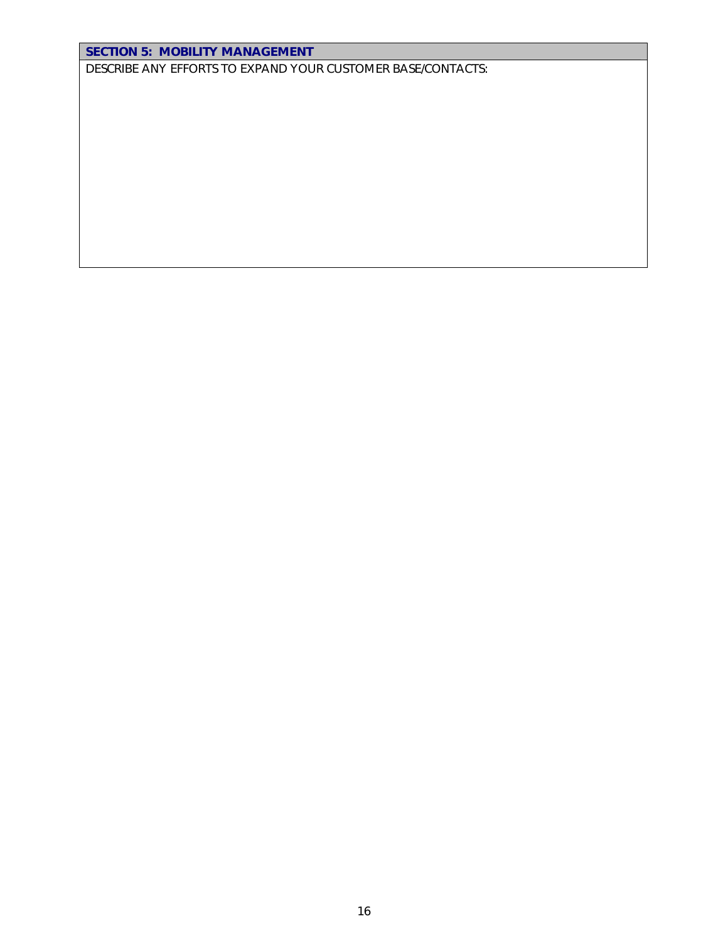### SECTION 5: MOBILITY MANAGEMENT

DESCRIBE ANY EFFORTS TO EXPAND YOUR CUSTOMER BASE/CONTACTS: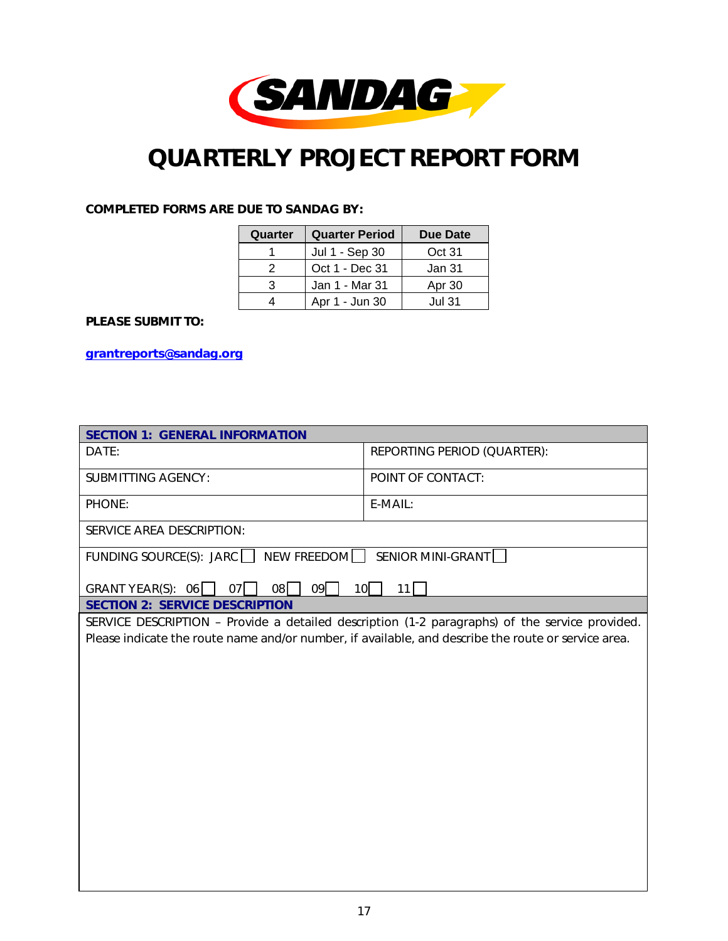

## *QUARTERLY PROJECT REPORT FORM*

#### COMPLETED FORMS ARE DUE TO SANDAG BY:

| Quarter | <b>Quarter Period</b> | Due Date |
|---------|-----------------------|----------|
|         | Jul 1 - Sep 30        | Oct 31   |
| 2       | Oct 1 - Dec 31        | Jan 31   |
| 3       | Jan 1 - Mar 31        | Apr 30   |
|         | Apr 1 - Jun 30        | Jul 31.  |

#### PLEASE SUBMIT TO:

grantreports@sandag.org

| <b>SECTION 1: GENERAL INFORMATION</b>                                                               |                                                                                                |  |  |  |  |  |  |  |  |
|-----------------------------------------------------------------------------------------------------|------------------------------------------------------------------------------------------------|--|--|--|--|--|--|--|--|
| DATE:                                                                                               | REPORTING PERIOD (QUARTER):                                                                    |  |  |  |  |  |  |  |  |
| <b>SUBMITTING AGENCY:</b>                                                                           | POINT OF CONTACT:                                                                              |  |  |  |  |  |  |  |  |
| PHONE:                                                                                              | E-MAIL:                                                                                        |  |  |  |  |  |  |  |  |
| SERVICE AREA DESCRIPTION:                                                                           |                                                                                                |  |  |  |  |  |  |  |  |
| FUNDING SOURCE(S): JARC   NEW FREEDOM SENIOR MINI-GRANT                                             |                                                                                                |  |  |  |  |  |  |  |  |
| $08\Box$<br>09<br>GRANT YEAR(S): $06$  <br>$07$                                                     | $10$  <br>11                                                                                   |  |  |  |  |  |  |  |  |
| <b>SECTION 2: SERVICE DESCRIPTION</b>                                                               |                                                                                                |  |  |  |  |  |  |  |  |
|                                                                                                     | SERVICE DESCRIPTION - Provide a detailed description (1-2 paragraphs) of the service provided. |  |  |  |  |  |  |  |  |
| Please indicate the route name and/or number, if available, and describe the route or service area. |                                                                                                |  |  |  |  |  |  |  |  |
|                                                                                                     |                                                                                                |  |  |  |  |  |  |  |  |
|                                                                                                     |                                                                                                |  |  |  |  |  |  |  |  |
|                                                                                                     |                                                                                                |  |  |  |  |  |  |  |  |
|                                                                                                     |                                                                                                |  |  |  |  |  |  |  |  |
|                                                                                                     |                                                                                                |  |  |  |  |  |  |  |  |
|                                                                                                     |                                                                                                |  |  |  |  |  |  |  |  |
|                                                                                                     |                                                                                                |  |  |  |  |  |  |  |  |
|                                                                                                     |                                                                                                |  |  |  |  |  |  |  |  |
|                                                                                                     |                                                                                                |  |  |  |  |  |  |  |  |
|                                                                                                     |                                                                                                |  |  |  |  |  |  |  |  |
|                                                                                                     |                                                                                                |  |  |  |  |  |  |  |  |
|                                                                                                     |                                                                                                |  |  |  |  |  |  |  |  |
|                                                                                                     |                                                                                                |  |  |  |  |  |  |  |  |
|                                                                                                     |                                                                                                |  |  |  |  |  |  |  |  |
|                                                                                                     |                                                                                                |  |  |  |  |  |  |  |  |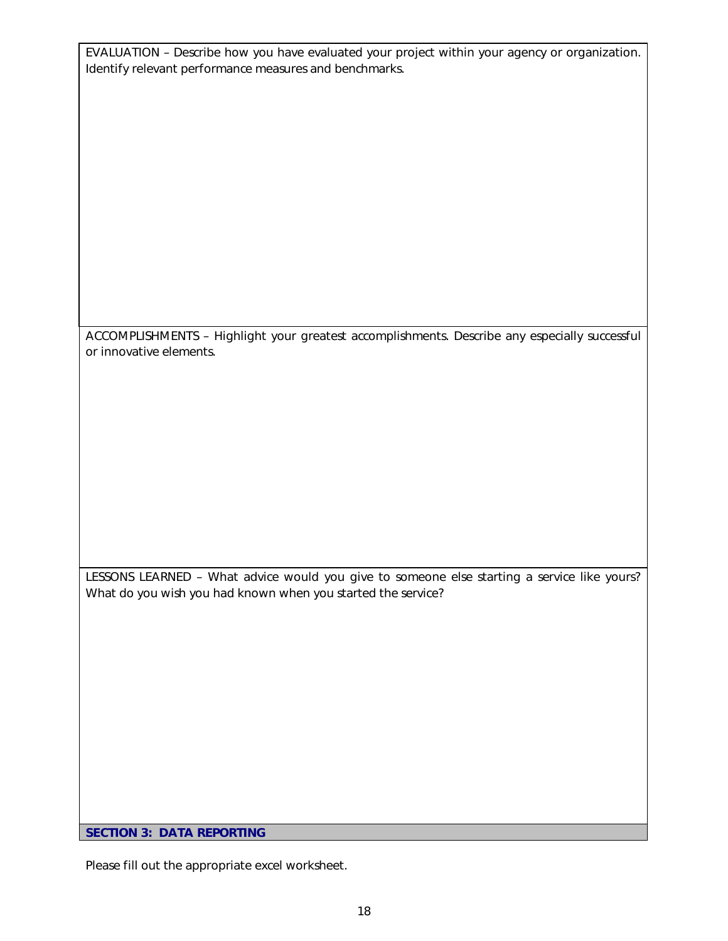EVALUATION – Describe how you have evaluated your project within your agency or organization. Identify relevant performance measures and benchmarks.

ACCOMPLISHMENTS – Highlight your greatest accomplishments. Describe any especially successful or innovative elements.

LESSONS LEARNED – What advice would you give to someone else starting a service like yours? What do you wish you had known when you started the service?

SECTION 3: DATA REPORTING

Please fill out the appropriate excel worksheet.